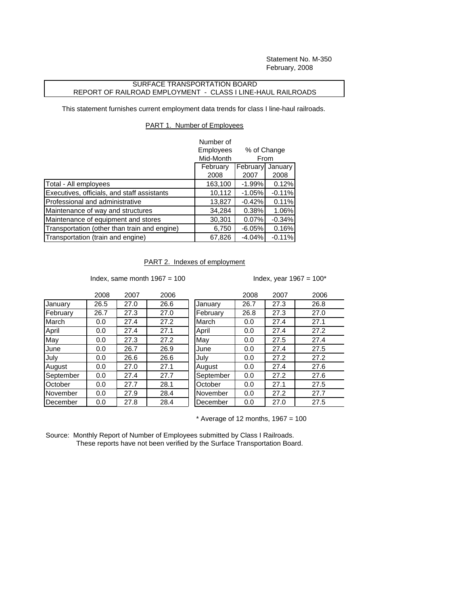Statement No. M-350 February, 2008

## SURFACE TRANSPORTATION BOARD REPORT OF RAILROAD EMPLOYMENT - CLASS I LINE-HAUL RAILROADS

This statement furnishes current employment data trends for class I line-haul railroads.

## PART 1. Number of Employees

|                                              | Number of<br>Employees          | % of Change<br>Mid-Month<br>From |          |  |
|----------------------------------------------|---------------------------------|----------------------------------|----------|--|
|                                              |                                 |                                  |          |  |
|                                              | February<br>February<br>January |                                  |          |  |
|                                              | 2008                            | 2007                             | 2008     |  |
| Total - All employees                        | 163,100                         | $-1.99%$                         | 0.12%    |  |
| Executives, officials, and staff assistants  | 10,112                          | $-1.05%$                         | $-0.11%$ |  |
| Professional and administrative              | 13,827                          | $-0.42%$                         | 0.11%    |  |
| Maintenance of way and structures            | 34,284                          | 0.38%                            | 1.06%    |  |
| Maintenance of equipment and stores          | 30,301                          | 0.07%                            | $-0.34%$ |  |
| Transportation (other than train and engine) | 6,750                           | $-6.05%$                         | 0.16%    |  |
| Transportation (train and engine)            | 67,826                          | $-4.04%$                         | $-0.11%$ |  |

## PART 2. Indexes of employment

Index, same month  $1967 = 100$  Index, year  $1967 = 100^*$ 

|           | 2008 | 2007 | 2006 |           | 2008 | 2007 | 2006 |
|-----------|------|------|------|-----------|------|------|------|
| January   | 26.5 | 27.0 | 26.6 | January   | 26.7 | 27.3 | 26.8 |
| February  | 26.7 | 27.3 | 27.0 | February  | 26.8 | 27.3 | 27.0 |
| March     | 0.0  | 27.4 | 27.2 | March     | 0.0  | 27.4 | 27.1 |
| April     | 0.0  | 27.4 | 27.1 | April     | 0.0  | 27.4 | 27.2 |
| May       | 0.0  | 27.3 | 27.2 | May       | 0.0  | 27.5 | 27.4 |
| June      | 0.0  | 26.7 | 26.9 | June      | 0.0  | 27.4 | 27.5 |
| July      | 0.0  | 26.6 | 26.6 | July      | 0.0  | 27.2 | 27.2 |
| August    | 0.0  | 27.0 | 27.1 | August    | 0.0  | 27.4 | 27.6 |
| September | 0.0  | 27.4 | 27.7 | September | 0.0  | 27.2 | 27.6 |
| October   | 0.0  | 27.7 | 28.1 | October   | 0.0  | 27.1 | 27.5 |
| November  | 0.0  | 27.9 | 28.4 | November  | 0.0  | 27.2 | 27.7 |
| December  | 0.0  | 27.8 | 28.4 | December  | 0.0  | 27.0 | 27.5 |

| 2008 | 2007 | 2006 |           | 2008 | 2007 | 2006 |
|------|------|------|-----------|------|------|------|
| 26.5 | 27.0 | 26.6 | January   | 26.7 | 27.3 | 26.8 |
| 26.7 | 27.3 | 27.0 | February  | 26.8 | 27.3 | 27.0 |
| 0.0  | 27.4 | 27.2 | March     | 0.0  | 27.4 | 27.1 |
| 0.0  | 27.4 | 27.1 | April     | 0.0  | 27.4 | 27.2 |
| 0.0  | 27.3 | 27.2 | May       | 0.0  | 27.5 | 27.4 |
| 0.0  | 26.7 | 26.9 | June      | 0.0  | 27.4 | 27.5 |
| 0.0  | 26.6 | 26.6 | July      | 0.0  | 27.2 | 27.2 |
| 0.0  | 27.0 | 27.1 | August    | 0.0  | 27.4 | 27.6 |
| 0.0  | 27.4 | 27.7 | September | 0.0  | 27.2 | 27.6 |
| 0.0  | 27.7 | 28.1 | October   | 0.0  | 27.1 | 27.5 |
| 0.0  | 27.9 | 28.4 | November  | 0.0  | 27.2 | 27.7 |
| 0.0  | 27.8 | 28.4 | December  | 0.0  | 27.0 | 27.5 |

 $*$  Average of 12 months, 1967 = 100

Source: Monthly Report of Number of Employees submitted by Class I Railroads. These reports have not been verified by the Surface Transportation Board.